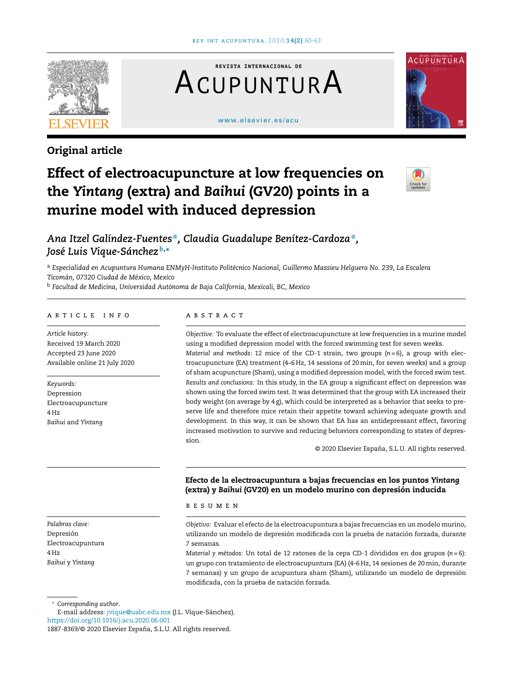

# Original article

**REVISTA INTERNACIONAL DE** ACUPUNTURA

#### [www.elsevier.es/acu](http://www.elsevier.es/acu)



# Effect of electroacupuncture at low frequencies on the *Yintang* (extra) and *Baihui* (GV20) points in a murine model with induced depression



*Ana Itzel Galíndez-Fuentes <sup>a</sup> , Claudia Guadalupe Benítez-Cardoza<sup>a</sup> , José Luis Vique-Sánchez <sup>b</sup>*,<sup>∗</sup>

<sup>a</sup> *Especialidad en Acupuntura Humana ENMyH-Instituto Politécnico Nacional, Guillermo Massieu Helguera No. 239, La Escalera Ticomán, 07320 Ciudad de México, Mexico*

<sup>b</sup> *Facultad de Medicina, Universidad Autónoma de Baja California, Mexicali, BC, Mexico*

# a r t i c l e i n f o

*Article history:* Received 19 March 2020 Accepted 23 June 2020 Available online 21 July 2020

*Keywords:* Depression Electroacupuncture 4 Hz *Baihui* and *Yintang*

*Palabras clave:* Depresión Electroacupuntura 4 Hz *Baihui* y *Yintang*

<sup>∗</sup> *Corresponding author*.

E-mail address: [jvique@uabc.edu.mx](mailto:jvique@uabc.edu.mx) (J.L. Vique-Sánchez). <https://doi.org/10.1016/j.acu.2020.06.001>

# a b s t r a c t

*Objective:* To evaluate the effect of electroacupuncture at low frequencies in a murine model using a modified depression model with the forced swimming test for seven weeks. *Material and methods:* 12 mice of the CD-1 strain, two groups (*n* = 6), a group with electroacupuncture (EA) treatment (4–6 Hz, 14 sessions of 20min, for seven weeks) and a group of sham acupuncture (Sham), using a modified depression model, with the forced swim test. *Results and conclusions:* In this study, in the EA group a significant effect on depression was shown using the forced swim test. It was determined that the group with EA increased their body weight (on average by 4 g), which could be interpreted as a behavior that seeks to preserve life and therefore mice retain their appetite toward achieving adequate growth and development. In this way, it can be shown that EA has an antidepressant effect, favoring increased motivation to survive and reducing behaviors corresponding to states of depression.

© 2020 Elsevier España, S.L.U. All rights reserved.

# Efecto de la electroacupuntura a bajas frecuencias en los puntos *Yintang* (extra) y *Baihui* (GV20) en un modelo murino con depresión inducida

r e s u m e n

*Objetivo:* Evaluar el efecto de la electroacupuntura a bajas frecuencias en un modelo murino, utilizando un modelo de depresión modificada con la prueba de natación forzada, durante 7 semanas.

*Material y métodos:* Un total de 12 ratones de la cepa CD-1 divididos en dos grupos (*n* = 6): un grupo con tratamiento de electroacupuntura (EA) (4-6 Hz, 14 sesiones de 20min, durante 7 semanas) y un grupo de acupuntura sham (Sham), utilizando un modelo de depresión modificada, con la prueba de natación forzada.

<sup>1887-8369/© 2020</sup> Elsevier España, S.L.U. All rights reserved.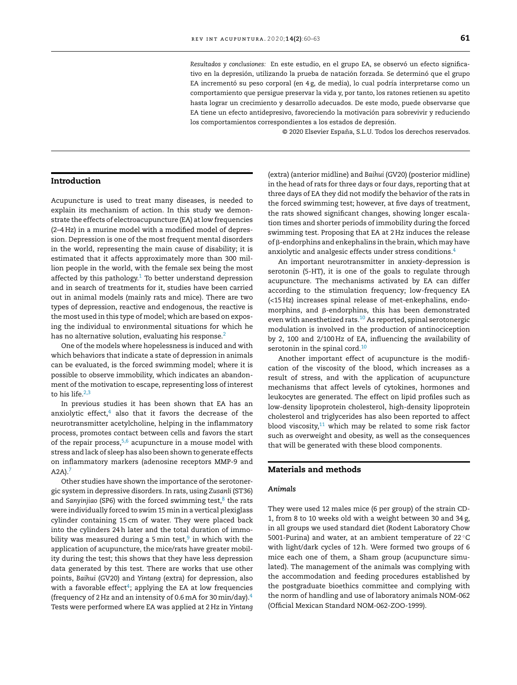*Resultados y conclusiones:* En este estudio, en el grupo EA, se observó un efecto significativo en la depresión, utilizando la prueba de natación forzada. Se determinó que el grupo EA incrementó su peso corporal (en 4 g, de media), lo cual podría interpretarse como un comportamiento que persigue preservar la vida y, por tanto, los ratones retienen su apetito hasta lograr un crecimiento y desarrollo adecuados. De este modo, puede observarse que EA tiene un efecto antidepresivo, favoreciendo la motivación para sobrevivir y reduciendo los comportamientos correspondientes a los estados de depresión.

© 2020 Elsevier España, S.L.U. Todos los derechos reservados.

#### Introduction

Acupuncture is used to treat many diseases, is needed to explain its mechanism of action. In this study we demonstrate the effects of electroacupuncture (EA) at low frequencies (2–4 Hz) in a murine model with a modified model of depression. Depression is one of the most frequent mental disorders in the world, representing the main cause of disability; it is estimated that it affects approximately more than 300 million people in the world, with the female sex being the most affected by this pathology. $1$  To better understand depression and in search of treatments for it, studies have been carried out in animal models (mainly rats and mice). There are two types of depression, reactive and endogenous, the reactive is the most used in this type of model; which are based on exposing the individual to environmental situations for which he has no alternative solution, evaluating his response.<sup>[2](#page-3-0)</sup>

One of the models where hopelessness is induced and with which behaviors that indicate a state of depression in animals can be evaluated, is the forced swimming model; where it is possible to observe immobility, which indicates an abandonment of the motivation to escape, representing loss of interest to his life. $2,3$ 

In previous studies it has been shown that EA has an anxiolytic effect, $4$  also that it favors the decrease of the neurotransmitter acetylcholine, helping in the inflammatory process, promotes contact between cells and favors the start of the repair process,  $5,6$  acupuncture in a mouse model with stress and lack of sleep has also been shown to generate effects on inflammatory markers (adenosine receptors MMP-9 and  $A2A$ ).<sup>[7](#page-3-0)</sup>

Other studies have shown the importance of the serotonergic system in depressive disorders. In rats, using *Zusanli* (ST36) and Sanyinjiao (SP6) with the forced swimming test,<sup>[8](#page-3-0)</sup> the rats were individually forced to swim 15min in a vertical plexiglass cylinder containing 15 cm of water. They were placed back into the cylinders 24h later and the total duration of immobility was measured during a 5 min test, $^9$  $^9$  in which with the application of acupuncture, the mice/rats have greater mobility during the test; this shows that they have less depression data generated by this test. There are works that use other points, *Baihui* (GV20) and *Yintang* (extra) for depression, also with a favorable effect<sup>[4](#page-3-0)</sup>; applying the EA at low frequencies (frequency of 2 Hz and an intensity of 0.6 mA for 30 min/day). $4$ Tests were performed where EA was applied at 2 Hz in *Yintang*

(extra) (anterior midline) and *Baihui* (GV20) (posterior midline) in the head of rats for three days or four days, reporting that at three days of EA they did not modify the behavior of the rats in the forced swimming test; however, at five days of treatment, the rats showed significant changes, showing longer escalation times and shorter periods of immobility during the forced swimming test. Proposing that EA at 2 Hz induces the release of  $\beta$ -endorphins and enkephalins in the brain, which may have anxiolytic and analgesic effects under stress conditions.[4](#page-3-0)

An important neurotransmitter in anxiety-depression is serotonin (5-HT), it is one of the goals to regulate through acupuncture. The mechanisms activated by EA can differ according to the stimulation frequency; low-frequency EA (<15 Hz) increases spinal release of met-enkephalins, endomorphins, and  $\beta$ -endorphins, this has been demonstrated even with anesthetized rats.<sup>[10](#page-3-0)</sup> As reported, spinal serotonergic modulation is involved in the production of antinociception by 2, 100 and 2/100 Hz of EA, influencing the availability of serotonin in the spinal cord.<sup>[10](#page-3-0)</sup>

Another important effect of acupuncture is the modification of the viscosity of the blood, which increases as a result of stress, and with the application of acupuncture mechanisms that affect levels of cytokines, hormones and leukocytes are generated. The effect on lipid profiles such as low-density lipoprotein cholesterol, high-density lipoprotein cholesterol and triglycerides has also been reported to affect blood viscosity, $11$  which may be related to some risk factor such as overweight and obesity, as well as the consequences that will be generated with these blood components.

#### Materials and methods

#### *Animals*

They were used 12 males mice (6 per group) of the strain CD-1, from 8 to 10 weeks old with a weight between 30 and 34 g, in all groups we used standard diet (Rodent Laboratory Chow 5001-Purina) and water, at an ambient temperature of 22 ◦C with light/dark cycles of 12h. Were formed two groups of 6 mice each one of them, a Sham group (acupuncture simulated). The management of the animals was complying with the accommodation and feeding procedures established by the postgraduate bioethics committee and complying with the norm of handling and use of laboratory animals NOM-062 (Official Mexican Standard NOM-062-ZOO-1999).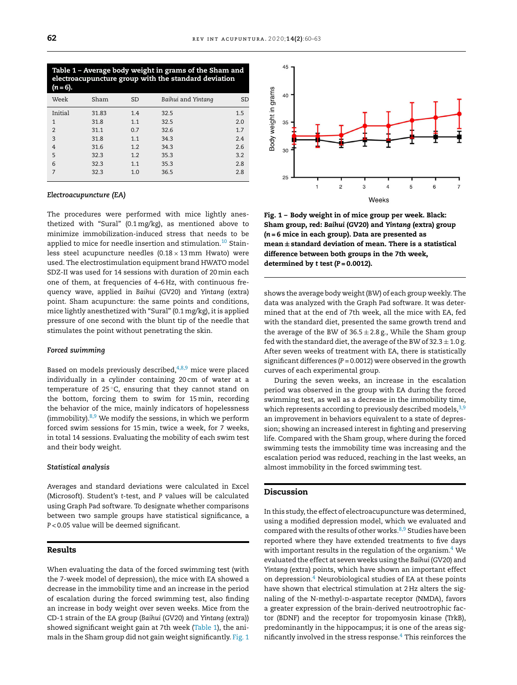Table 1 – Average body weight in grams of the Sham and electroacupuncture group with the standard deviation (*n* = 6). Week Sham SD *Baihui* and *Yintang* SD Initial 31.83 1.4 32.5 1.5 1 31.8 1.1 32.5 2.0 2 31.1 0.7 32.6 1.7 3 31.8 1.1 34.3 2.4 4 31.6 1.2 34.3 2.6 5 32.3 1.2 35.3 3.2 6 32.3 1.1 35.3 2.8 7 32.3 1.0 36.5 2.8

#### *Electroacupuncture (EA)*

The procedures were performed with mice lightly anesthetized with "Sural" (0.1mg/kg), as mentioned above to minimize immobilization-induced stress that needs to be applied to mice for needle insertion and stimulation.<sup>[10](#page-3-0)</sup> Stainless steel acupuncture needles  $(0.18 \times 13 \text{ mm}$  Hwato) were used. The electrostimulation equipment brand HWATO model SDZ-II was used for 14 sessions with duration of 20min each one of them, at frequencies of 4–6 Hz, with continuous frequency wave, applied in *Baihui* (GV20) and *Yintang* (extra) point. Sham acupuncture: the same points and conditions, mice lightly anesthetized with "Sural" (0.1mg/kg), it is applied pressure of one second with the blunt tip of the needle that stimulates the point without penetrating the skin.

#### *Forced swimming*

Based on models previously described, $4,8,9$  mice were placed individually in a cylinder containing 20 cm of water at a temperature of 25 ◦C, ensuring that they cannot stand on the bottom, forcing them to swim for 15min, recording the behavior of the mice, mainly indicators of hopelessness (immobility). $8,9$  We modify the sessions, in which we perform forced swim sessions for 15min, twice a week, for 7 weeks, in total 14 sessions. Evaluating the mobility of each swim test and their body weight.

#### *Statistical analysis*

Averages and standard deviations were calculated in Excel (Microsoft). Student's *t*-test, and *P* values will be calculated using Graph Pad software. To designate whether comparisons between two sample groups have statistical significance, a *P* < 0.05 value will be deemed significant.

# Results

When evaluating the data of the forced swimming test (with the 7-week model of depression), the mice with EA showed a decrease in the immobility time and an increase in the period of escalation during the forced swimming test, also finding an increase in body weight over seven weeks. Mice from the CD-1 strain of the EA group (*Baihui* (GV20) and *Yintang* (extra)) showed significant weight gain at 7th week (Table 1), the animals in the Sham group did not gain weight significantly. Fig. 1



Fig. 1 – Body weight in of mice group per week. Black: Sham group, red: *Baihui* (GV20) and *Yintang* (extra) group (*n* = 6 mice in each group). Data are presented as mean  $\pm$  standard deviation of mean. There is a statistical difference between both groups in the 7th week, determined by *t* test (*P* = 0.0012).

shows the average body weight(BW) of each group weekly. The data was analyzed with the Graph Pad software. It was determined that at the end of 7th week, all the mice with EA, fed with the standard diet, presented the same growth trend and the average of the BW of  $36.5 \pm 2.8$  g., While the Sham group fed with the standard diet, the average of the BW of  $32.3 \pm 1.0$  g. After seven weeks of treatment with EA, there is statistically significant differences (*P* = 0.0012) were observed in the growth curves of each experimental group.

During the seven weeks, an increase in the escalation period was observed in the group with EA during the forced swimming test, as well as a decrease in the immobility time, which represents according to previously described models,  $3,9$ an improvement in behaviors equivalent to a state of depression; showing an increased interest in fighting and preserving life. Compared with the Sham group, where during the forced swimming tests the immobility time was increasing and the escalation period was reduced, reaching in the last weeks, an almost immobility in the forced swimming test.

#### Discussion

In this study, the effect of electroacupuncture was determined, using a modified depression model, which we evaluated and compared with the results of other works.<sup>[8,9](#page-3-0)</sup> Studies have been reported where they have extended treatments to five days with important results in the regulation of the organism. $4$  We evaluated the effect at seven weeks using the *Baihui* (GV20) and *Yintang* (extra) points, which have shown an important effect on depression.[4](#page-3-0) Neurobiological studies of EA at these points have shown that electrical stimulation at 2 Hz alters the signaling of the N-methyl-D-aspartate receptor (NMDA), favors a greater expression of the brain-derived neutrootrophic factor (BDNF) and the receptor for tropomyosin kinase (TrkB), predominantly in the hippocampus; it is one of the areas significantly involved in the stress response.<sup>4</sup> [T](#page-3-0)his reinforces the